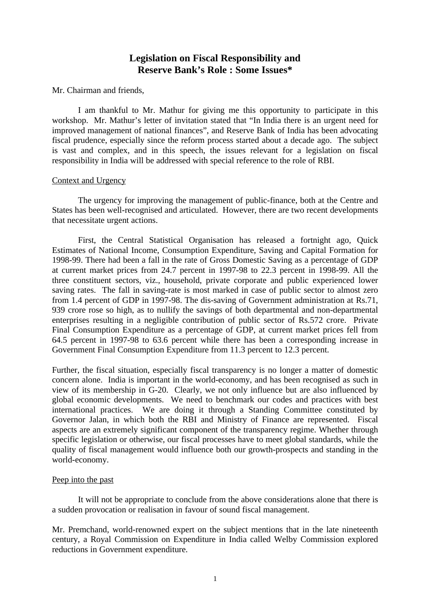# **Legislation on Fiscal Responsibility and Reserve Bank's Role : Some Issues\***

### Mr. Chairman and friends,

I am thankful to Mr. Mathur for giving me this opportunity to participate in this workshop. Mr. Mathur's letter of invitation stated that "In India there is an urgent need for improved management of national finances", and Reserve Bank of India has been advocating fiscal prudence, especially since the reform process started about a decade ago. The subject is vast and complex, and in this speech, the issues relevant for a legislation on fiscal responsibility in India will be addressed with special reference to the role of RBI.

### Context and Urgency

The urgency for improving the management of public-finance, both at the Centre and States has been well-recognised and articulated. However, there are two recent developments that necessitate urgent actions.

First, the Central Statistical Organisation has released a fortnight ago, Quick Estimates of National Income, Consumption Expenditure, Saving and Capital Formation for 1998-99. There had been a fall in the rate of Gross Domestic Saving as a percentage of GDP at current market prices from 24.7 percent in 1997-98 to 22.3 percent in 1998-99. All the three constituent sectors, viz., household, private corporate and public experienced lower saving rates. The fall in saving-rate is most marked in case of public sector to almost zero from 1.4 percent of GDP in 1997-98. The dis-saving of Government administration at Rs.71, 939 crore rose so high, as to nullify the savings of both departmental and non-departmental enterprises resulting in a negligible contribution of public sector of Rs.572 crore. Private Final Consumption Expenditure as a percentage of GDP, at current market prices fell from 64.5 percent in 1997-98 to 63.6 percent while there has been a corresponding increase in Government Final Consumption Expenditure from 11.3 percent to 12.3 percent.

Further, the fiscal situation, especially fiscal transparency is no longer a matter of domestic concern alone. India is important in the world-economy, and has been recognised as such in view of its membership in G-20. Clearly, we not only influence but are also influenced by global economic developments. We need to benchmark our codes and practices with best international practices. We are doing it through a Standing Committee constituted by Governor Jalan, in which both the RBI and Ministry of Finance are represented. Fiscal aspects are an extremely significant component of the transparency regime. Whether through specific legislation or otherwise, our fiscal processes have to meet global standards, while the quality of fiscal management would influence both our growth-prospects and standing in the world-economy.

## Peep into the past

It will not be appropriate to conclude from the above considerations alone that there is a sudden provocation or realisation in favour of sound fiscal management.

Mr. Premchand, world-renowned expert on the subject mentions that in the late nineteenth century, a Royal Commission on Expenditure in India called Welby Commission explored reductions in Government expenditure.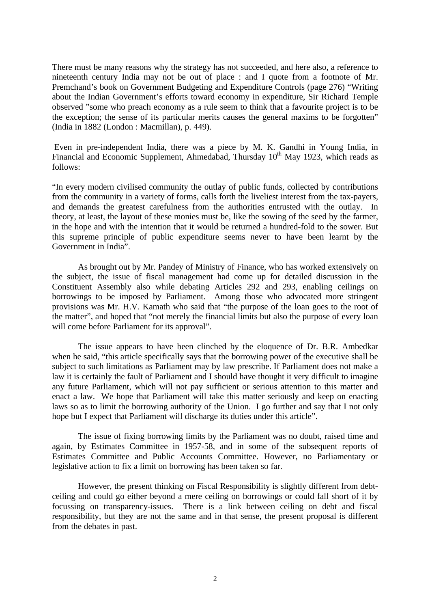There must be many reasons why the strategy has not succeeded, and here also, a reference to nineteenth century India may not be out of place : and I quote from a footnote of Mr. Premchand's book on Government Budgeting and Expenditure Controls (page 276) "Writing about the Indian Government's efforts toward economy in expenditure, Sir Richard Temple observed "some who preach economy as a rule seem to think that a favourite project is to be the exception; the sense of its particular merits causes the general maxims to be forgotten" (India in 1882 (London : Macmillan), p. 449).

 Even in pre-independent India, there was a piece by M. K. Gandhi in Young India, in Financial and Economic Supplement, Ahmedabad, Thursday  $10<sup>th</sup>$  May 1923, which reads as follows:

"In every modern civilised community the outlay of public funds, collected by contributions from the community in a variety of forms, calls forth the liveliest interest from the tax-payers, and demands the greatest carefulness from the authorities entrusted with the outlay. In theory, at least, the layout of these monies must be, like the sowing of the seed by the farmer, in the hope and with the intention that it would be returned a hundred-fold to the sower. But this supreme principle of public expenditure seems never to have been learnt by the Government in India".

As brought out by Mr. Pandey of Ministry of Finance, who has worked extensively on the subject, the issue of fiscal management had come up for detailed discussion in the Constituent Assembly also while debating Articles 292 and 293, enabling ceilings on borrowings to be imposed by Parliament. Among those who advocated more stringent provisions was Mr. H.V. Kamath who said that "the purpose of the loan goes to the root of the matter", and hoped that "not merely the financial limits but also the purpose of every loan will come before Parliament for its approval".

The issue appears to have been clinched by the eloquence of Dr. B.R. Ambedkar when he said, "this article specifically says that the borrowing power of the executive shall be subject to such limitations as Parliament may by law prescribe. If Parliament does not make a law it is certainly the fault of Parliament and I should have thought it very difficult to imagine any future Parliament, which will not pay sufficient or serious attention to this matter and enact a law. We hope that Parliament will take this matter seriously and keep on enacting laws so as to limit the borrowing authority of the Union. I go further and say that I not only hope but I expect that Parliament will discharge its duties under this article".

The issue of fixing borrowing limits by the Parliament was no doubt, raised time and again, by Estimates Committee in 1957-58, and in some of the subsequent reports of Estimates Committee and Public Accounts Committee. However, no Parliamentary or legislative action to fix a limit on borrowing has been taken so far.

However, the present thinking on Fiscal Responsibility is slightly different from debtceiling and could go either beyond a mere ceiling on borrowings or could fall short of it by focussing on transparency-issues. There is a link between ceiling on debt and fiscal responsibility, but they are not the same and in that sense, the present proposal is different from the debates in past.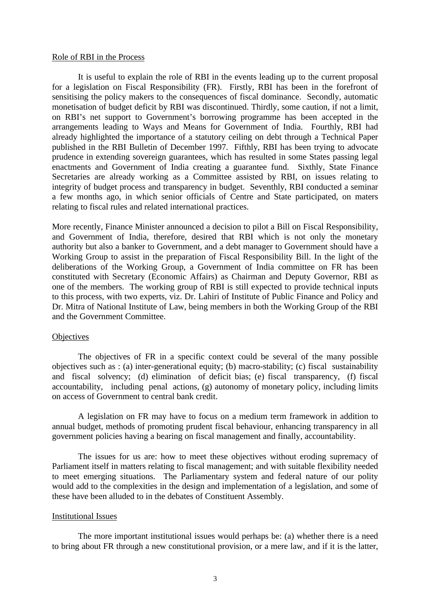### Role of RBI in the Process

It is useful to explain the role of RBI in the events leading up to the current proposal for a legislation on Fiscal Responsibility (FR). Firstly, RBI has been in the forefront of sensitising the policy makers to the consequences of fiscal dominance. Secondly, automatic monetisation of budget deficit by RBI was discontinued. Thirdly, some caution, if not a limit, on RBI's net support to Government's borrowing programme has been accepted in the arrangements leading to Ways and Means for Government of India. Fourthly, RBI had already highlighted the importance of a statutory ceiling on debt through a Technical Paper published in the RBI Bulletin of December 1997. Fifthly, RBI has been trying to advocate prudence in extending sovereign guarantees, which has resulted in some States passing legal enactments and Government of India creating a guarantee fund. Sixthly, State Finance Secretaries are already working as a Committee assisted by RBI, on issues relating to integrity of budget process and transparency in budget. Seventhly, RBI conducted a seminar a few months ago, in which senior officials of Centre and State participated, on maters relating to fiscal rules and related international practices.

More recently, Finance Minister announced a decision to pilot a Bill on Fiscal Responsibility, and Government of India, therefore, desired that RBI which is not only the monetary authority but also a banker to Government, and a debt manager to Government should have a Working Group to assist in the preparation of Fiscal Responsibility Bill. In the light of the deliberations of the Working Group, a Government of India committee on FR has been constituted with Secretary (Economic Affairs) as Chairman and Deputy Governor, RBI as one of the members. The working group of RBI is still expected to provide technical inputs to this process, with two experts, viz. Dr. Lahiri of Institute of Public Finance and Policy and Dr. Mitra of National Institute of Law, being members in both the Working Group of the RBI and the Government Committee.

### **Objectives**

The objectives of FR in a specific context could be several of the many possible objectives such as : (a) inter-generational equity; (b) macro-stability; (c) fiscal sustainability and fiscal solvency; (d) elimination of deficit bias; (e) fiscal transparency, (f) fiscal accountability, including penal actions, (g) autonomy of monetary policy, including limits on access of Government to central bank credit.

A legislation on FR may have to focus on a medium term framework in addition to annual budget, methods of promoting prudent fiscal behaviour, enhancing transparency in all government policies having a bearing on fiscal management and finally, accountability.

The issues for us are: how to meet these objectives without eroding supremacy of Parliament itself in matters relating to fiscal management; and with suitable flexibility needed to meet emerging situations. The Parliamentary system and federal nature of our polity would add to the complexities in the design and implementation of a legislation, and some of these have been alluded to in the debates of Constituent Assembly.

### Institutional Issues

The more important institutional issues would perhaps be: (a) whether there is a need to bring about FR through a new constitutional provision, or a mere law, and if it is the latter,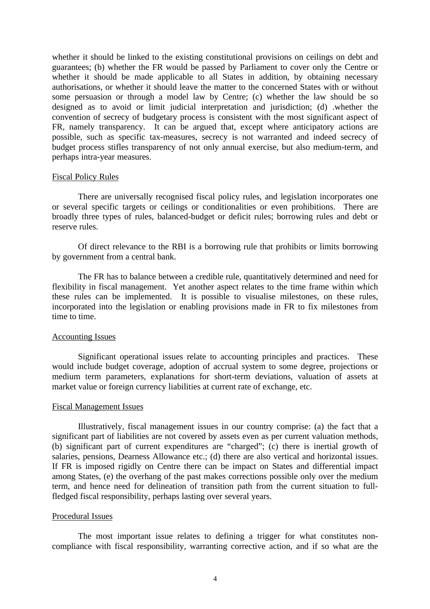whether it should be linked to the existing constitutional provisions on ceilings on debt and guarantees; (b) whether the FR would be passed by Parliament to cover only the Centre or whether it should be made applicable to all States in addition, by obtaining necessary authorisations, or whether it should leave the matter to the concerned States with or without some persuasion or through a model law by Centre; (c) whether the law should be so designed as to avoid or limit judicial interpretation and jurisdiction; (d) .whether the convention of secrecy of budgetary process is consistent with the most significant aspect of FR, namely transparency. It can be argued that, except where anticipatory actions are possible, such as specific tax-measures, secrecy is not warranted and indeed secrecy of budget process stifles transparency of not only annual exercise, but also medium-term, and perhaps intra-year measures.

#### Fiscal Policy Rules

There are universally recognised fiscal policy rules, and legislation incorporates one or several specific targets or ceilings or conditionalities or even prohibitions. There are broadly three types of rules, balanced-budget or deficit rules; borrowing rules and debt or reserve rules.

Of direct relevance to the RBI is a borrowing rule that prohibits or limits borrowing by government from a central bank.

The FR has to balance between a credible rule, quantitatively determined and need for flexibility in fiscal management. Yet another aspect relates to the time frame within which these rules can be implemented. It is possible to visualise milestones, on these rules, incorporated into the legislation or enabling provisions made in FR to fix milestones from time to time.

### Accounting Issues

Significant operational issues relate to accounting principles and practices. These would include budget coverage, adoption of accrual system to some degree, projections or medium term parameters, explanations for short-term deviations, valuation of assets at market value or foreign currency liabilities at current rate of exchange, etc.

### Fiscal Management Issues

Illustratively, fiscal management issues in our country comprise: (a) the fact that a significant part of liabilities are not covered by assets even as per current valuation methods, (b) significant part of current expenditures are "charged"; (c) there is inertial growth of salaries, pensions, Dearness Allowance etc.; (d) there are also vertical and horizontal issues. If FR is imposed rigidly on Centre there can be impact on States and differential impact among States, (e) the overhang of the past makes corrections possible only over the medium term, and hence need for delineation of transition path from the current situation to fullfledged fiscal responsibility, perhaps lasting over several years.

#### Procedural Issues

The most important issue relates to defining a trigger for what constitutes noncompliance with fiscal responsibility, warranting corrective action, and if so what are the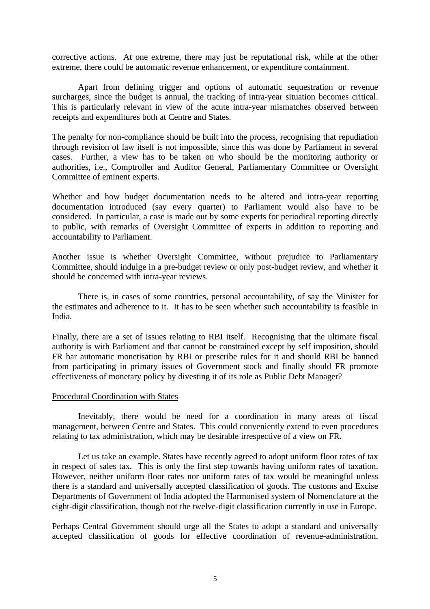corrective actions. At one extreme, there may just be reputational risk, while at the other extreme, there could be automatic revenue enhancement, or expenditure containment.

Apart from defining trigger and options of automatic sequestration or revenue surcharges, since the budget is annual, the tracking of intra-year situation becomes critical. This is particularly relevant in view of the acute intra-year mismatches observed between receipts and expenditures both at Centre and States.

The penalty for non-compliance should be built into the process, recognising that repudiation through revision of law itself is not impossible, since this was done by Parliament in several cases. Further, a view has to be taken on who should be the monitoring authority or authorities, i.e., Comptroller and Auditor General, Parliamentary Committee or Oversight Committee of eminent experts.

Whether and how budget documentation needs to be altered and intra-year reporting documentation introduced (say every quarter) to Parliament would also have to be considered. In particular, a case is made out by some experts for periodical reporting directly to public, with remarks of Oversight Committee of experts in addition to reporting and accountability to Parliament.

Another issue is whether Oversight Committee, without prejudice to Parliamentary Committee, should indulge in a pre-budget review or only post-budget review, and whether it should be concerned with intra-year reviews.

There is, in cases of some countries, personal accountability, of say the Minister for the estimates and adherence to it. It has to be seen whether such accountability is feasible in India.

Finally, there are a set of issues relating to RBI itself. Recognising that the ultimate fiscal authority is with Parliament and that cannot be constrained except by self imposition, should FR bar automatic monetisation by RBI or prescribe rules for it and should RBI be banned from participating in primary issues of Government stock and finally should FR promote effectiveness of monetary policy by divesting it of its role as Public Debt Manager?

### Procedural Coordination with States

Inevitably, there would be need for a coordination in many areas of fiscal management, between Centre and States. This could conveniently extend to even procedures relating to tax administration, which may be desirable irrespective of a view on FR.

Let us take an example. States have recently agreed to adopt uniform floor rates of tax in respect of sales tax. This is only the first step towards having uniform rates of taxation. However, neither uniform floor rates nor uniform rates of tax would be meaningful unless there is a standard and universally accepted classification of goods. The customs and Excise Departments of Government of India adopted the Harmonised system of Nomenclature at the eight-digit classification, though not the twelve-digit classification currently in use in Europe.

Perhaps Central Government should urge all the States to adopt a standard and universally accepted classification of goods for effective coordination of revenue-administration.